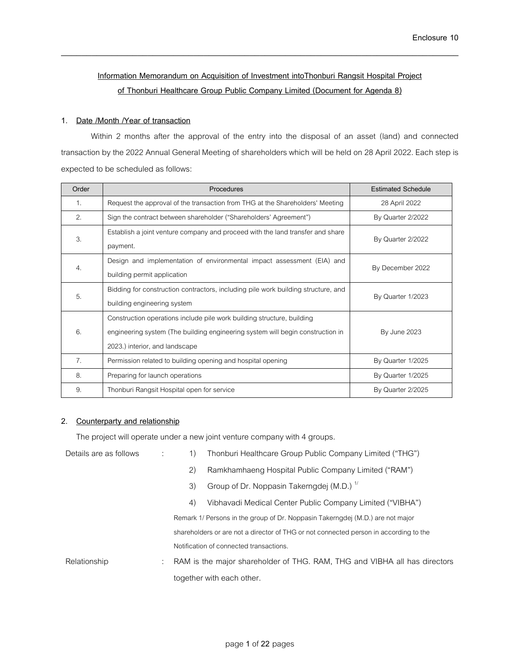# **Information Memorandum on Acquisition of Investment intoThonburi Rangsit Hospital Project of Thonburi Healthcare Group Public Company Limited (Document for Agenda 8)**

\_\_\_\_\_\_\_\_\_\_\_\_\_\_\_\_\_\_\_\_\_\_\_\_\_\_\_\_\_\_\_\_\_\_\_\_\_\_\_\_\_\_\_\_\_\_\_\_\_\_\_\_\_\_\_\_\_\_\_\_\_\_\_\_\_\_\_\_\_\_\_\_\_\_\_\_\_\_

### **1. Date /Month /Year of transaction**

Within 2 months after the approval of the entry into the disposal of an asset (land) and connected transaction by the 2022 Annual General Meeting of shareholders which will be held on 28 April 2022. Each step is expected to be scheduled as follows:

| Order          | Procedures                                                                                                                                                                                 | <b>Estimated Schedule</b> |
|----------------|--------------------------------------------------------------------------------------------------------------------------------------------------------------------------------------------|---------------------------|
| $\mathbf{1}$ . | Request the approval of the transaction from THG at the Shareholders' Meeting                                                                                                              | 28 April 2022             |
| 2.             | Sign the contract between shareholder ("Shareholders' Agreement")                                                                                                                          | By Quarter 2/2022         |
| 3.             | Establish a joint venture company and proceed with the land transfer and share<br>payment.                                                                                                 | By Quarter 2/2022         |
| 4.             | Design and implementation of environmental impact assessment (EIA) and<br>building permit application                                                                                      | By December 2022          |
| 5.             | Bidding for construction contractors, including pile work building structure, and<br>building engineering system                                                                           | By Quarter 1/2023         |
| 6.             | Construction operations include pile work building structure, building<br>engineering system (The building engineering system will begin construction in<br>2023.) interior, and landscape | <b>By June 2023</b>       |
| 7.             | Permission related to building opening and hospital opening                                                                                                                                | By Quarter 1/2025         |
| 8.             | Preparing for launch operations                                                                                                                                                            | By Quarter 1/2025         |
| 9.             | Thonburi Rangsit Hospital open for service                                                                                                                                                 | By Quarter 2/2025         |

### **2. Counterparty and relationship**

The project will operate under a new joint venture company with 4 groups.

| Details are as follows | 1)  | Thonburi Healthcare Group Public Company Limited ("THG")                              |
|------------------------|-----|---------------------------------------------------------------------------------------|
|                        | (2) | Ramkhamhaeng Hospital Public Company Limited ("RAM")                                  |
|                        | 3)  | Group of Dr. Noppasin Takerngdej (M.D.) <sup>1/</sup>                                 |
|                        | 4)  | Vibhavadi Medical Center Public Company Limited ("VIBHA")                             |
|                        |     | Remark 1/ Persons in the group of Dr. Noppasin Takerngdej (M.D.) are not major        |
|                        |     | shareholders or are not a director of THG or not connected person in according to the |
|                        |     | Notification of connected transactions.                                               |
| Relationship           |     | RAM is the major shareholder of THG. RAM, THG and VIBHA all has directors             |
|                        |     | together with each other.                                                             |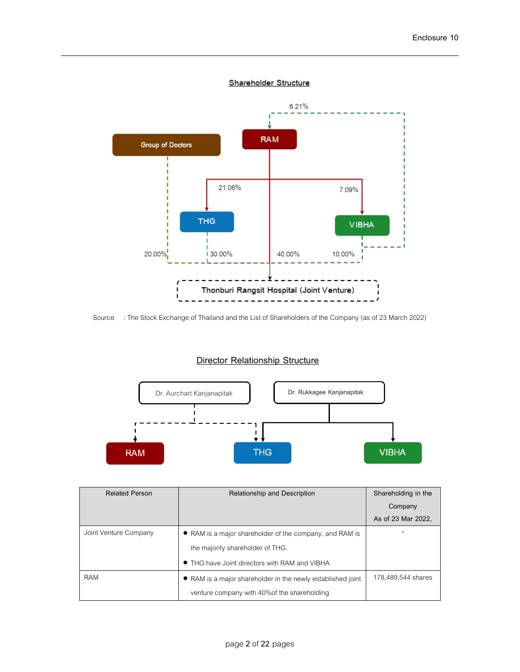### Shareholder Structure

\_\_\_\_\_\_\_\_\_\_\_\_\_\_\_\_\_\_\_\_\_\_\_\_\_\_\_\_\_\_\_\_\_\_\_\_\_\_\_\_\_\_\_\_\_\_\_\_\_\_\_\_\_\_\_\_\_\_\_\_\_\_\_\_\_\_\_\_\_\_\_\_\_\_\_\_\_\_



Source : The Stock Exchange of Thailand and the List of Shareholders of the Company (as of 23 March 2022)

# **Director Relationship Structure**



| <b>Related Person</b> | Relationship and Description                                | Shareholding in the |
|-----------------------|-------------------------------------------------------------|---------------------|
|                       |                                                             | Company             |
|                       |                                                             | As of 23 Mar 2022,  |
| Joint Venture Company | • RAM is a major shareholder of the company, and RAM is     |                     |
|                       | the majority shareholder of THG.                            |                     |
|                       | • THG have Joint directors with RAM and VIBHA               |                     |
| <b>RAM</b>            | • RAM is a major shareholder in the newly established joint | 178,489,544 shares  |
|                       | venture company with 40% of the shareholding                |                     |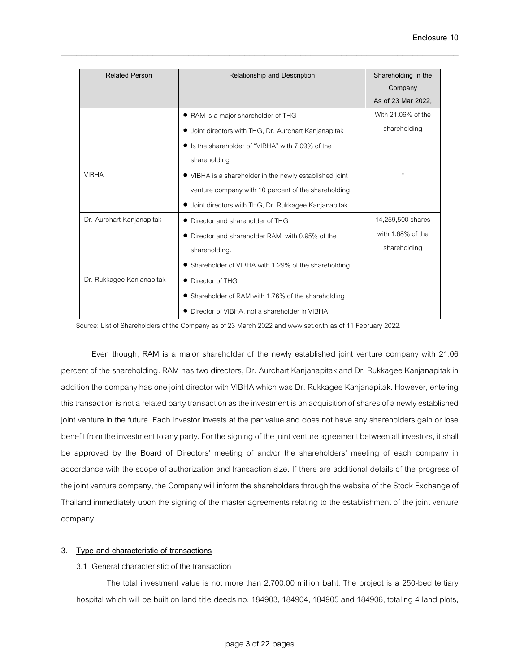| <b>Related Person</b>     | Relationship and Description                            | Shareholding in the |
|---------------------------|---------------------------------------------------------|---------------------|
|                           |                                                         | Company             |
|                           |                                                         | As of 23 Mar 2022.  |
|                           | • RAM is a major shareholder of THG                     | With 21.06% of the  |
|                           | • Joint directors with THG, Dr. Aurchart Kanjanapitak   | shareholding        |
|                           | Is the shareholder of "VIBHA" with 7.09% of the         |                     |
|                           | shareholding                                            |                     |
| <b>VIBHA</b>              | • VIBHA is a shareholder in the newly established joint |                     |
|                           | venture company with 10 percent of the shareholding     |                     |
|                           | Joint directors with THG, Dr. Rukkagee Kanjanapitak     |                     |
| Dr. Aurchart Kanjanapitak | Director and shareholder of THG                         | 14,259,500 shares   |
|                           | Director and shareholder RAM with 0.95% of the          | with 1.68% of the   |
|                           | shareholding.                                           | shareholding        |
|                           | • Shareholder of VIBHA with 1.29% of the shareholding   |                     |
| Dr. Rukkagee Kanjanapitak | • Director of THG                                       |                     |
|                           | Shareholder of RAM with 1.76% of the shareholding       |                     |
|                           | • Director of VIBHA, not a shareholder in VIBHA         |                     |

Source: List of Shareholders of the Company as of 23 March 2022 and www.set.or.th as of 11 February 2022.

Even though, RAM is a major shareholder of the newly established joint venture company with 21.06 percent of the shareholding. RAM has two directors, Dr. Aurchart Kanjanapitak and Dr. Rukkagee Kanjanapitak in addition the company has one joint director with VIBHA which was Dr. Rukkagee Kanjanapitak. However, entering this transaction is not a related party transaction as the investment is an acquisition of shares of a newly established joint venture in the future. Each investor invests at the par value and does not have any shareholders gain or lose benefit from the investment to any party. For the signing of the joint venture agreement between all investors, it shall be approved by the Board of Directors' meeting of and/or the shareholders' meeting of each company in accordance with the scope of authorization and transaction size. If there are additional details of the progress of the joint venture company, the Company will inform the shareholders through the website of the Stock Exchange of Thailand immediately upon the signing of the master agreements relating to the establishment of the joint venture company.

## **3. Type and characteristic of transactions**

### 3.1 General characteristic of the transaction

The total investment value is not more than 2,700.00 million baht. The project is a 250-bed tertiary hospital which will be built on land title deeds no. 184903, 184904, 184905 and 184906, totaling 4 land plots,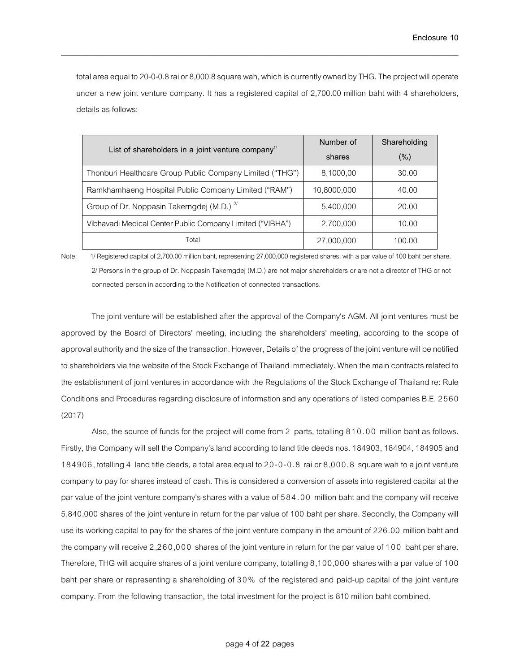total area equal to 20-0-0.8 raior 8,000.8 square wah, which is currently owned by THG. The project will operate under a new joint venture company. It has a registered capital of 2,700.00 million baht with 4 shareholders, details as follows:

\_\_\_\_\_\_\_\_\_\_\_\_\_\_\_\_\_\_\_\_\_\_\_\_\_\_\_\_\_\_\_\_\_\_\_\_\_\_\_\_\_\_\_\_\_\_\_\_\_\_\_\_\_\_\_\_\_\_\_\_\_\_\_\_\_\_\_\_\_\_\_\_\_\_\_\_\_\_

|                                                                             | Number of   | Shareholding |
|-----------------------------------------------------------------------------|-------------|--------------|
| List of shareholders in a joint venture company <sup><math>\pi</math></sup> | shares      | $(\% )$      |
| Thonburi Healthcare Group Public Company Limited ("THG")                    | 8,1000,00   | 30.00        |
| Ramkhamhaeng Hospital Public Company Limited ("RAM")                        | 10,8000,000 | 40.00        |
| Group of Dr. Noppasin Takerngdej (M.D.) <sup>2/</sup>                       | 5,400,000   | 20.00        |
| Vibhavadi Medical Center Public Company Limited ("VIBHA")                   | 2,700,000   | 10.00        |
| Total                                                                       | 27,000,000  | 100.00       |

Note: 1/ Registered capital of 2,700.00 million baht, representing 27,000,000 registered shares, with a par value of 100 baht per share. 2/ Persons in the group of Dr. Noppasin Takerngdej (M.D.) are not major shareholders or are not a director of THG or not connected person in according to the Notification of connected transactions.

The joint venture will be established after the approval of the Company's AGM. All joint ventures must be approved by the Board of Directors' meeting, including the shareholders' meeting, according to the scope of approval authority and the size of the transaction. However, Details of the progress of the joint venture will be notified to shareholders via the website of the Stock Exchange of Thailand immediately. When the main contracts related to the establishment of joint ventures in accordance with the Regulations of the Stock Exchange of Thailand re: Rule Conditions and Procedures regarding disclosure of information and any operations of listed companies B.E. 2560 (2017)

Also, the source of funds for the project will come from 2 parts, totalling 810.00 million baht as follows. Firstly, the Company will sell the Company's land according to land title deeds nos. 184903, 184904, 184905 and 184906, totalling 4 land title deeds, a total area equal to 20-0-0.8 rai or 8,000.8 square wah to a joint venture company to pay for shares instead of cash. This is considered a conversion of assets into registered capital at the par value of the joint venture company's shares with a value of 584.00 million baht and the company will receive 5,840,000 shares of the joint venture in return for the par value of 100 baht per share. Secondly, the Company will use its working capital to pay for the shares of the joint venture company in the amount of 226.00 million baht and the company will receive 2,260,000 shares of the joint venture in return for the par value of 100 baht per share. Therefore, THG will acquire shares of a joint venture company, totalling 8,100,000 shares with a par value of 100 baht per share or representing a shareholding of 30% of the registered and paid-up capital of the joint venture company. From the following transaction, the total investment for the project is 810 million baht combined.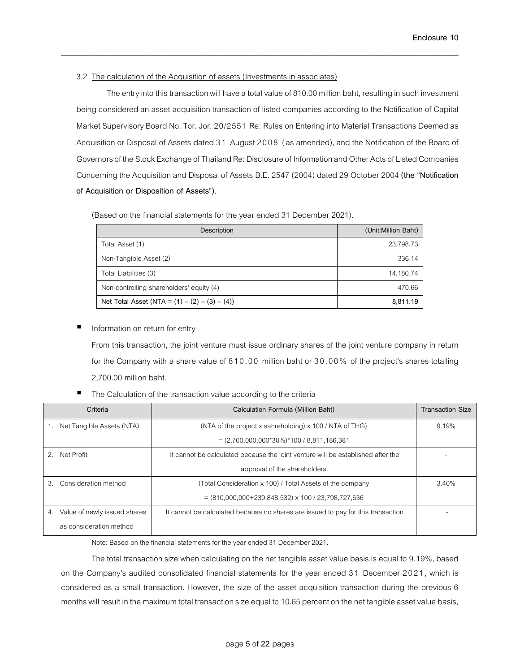# 3.2 The calculation of the Acquisition of assets (Investments in associates)

The entry into this transaction will have a total value of 810.00 million baht, resulting in such investment being considered an asset acquisition transaction of listed companies according to the Notification of Capital Market Supervisory Board No. Tor. Jor. 20/2551 Re: Rules on Entering into Material Transactions Deemed as Acquisition or Disposal of Assets dated 31 August 2008 (as amended), and the Notification of the Board of Governors of the Stock Exchange of Thailand Re: Disclosure of Information and Other Acts of Listed Companies Concerning the Acquisition and Disposal of Assets B.E. 2547 (2004) dated 29 October 2004 **(the "Notification of Acquisition or Disposition of Assets").**

\_\_\_\_\_\_\_\_\_\_\_\_\_\_\_\_\_\_\_\_\_\_\_\_\_\_\_\_\_\_\_\_\_\_\_\_\_\_\_\_\_\_\_\_\_\_\_\_\_\_\_\_\_\_\_\_\_\_\_\_\_\_\_\_\_\_\_\_\_\_\_\_\_\_\_\_\_\_

(Based on the financial statements for the year ended 31 December 2021).

| Description                                      | (Unit:Million Baht) |
|--------------------------------------------------|---------------------|
| Total Asset (1)                                  | 23,798.73           |
| Non-Tangible Asset (2)                           | 336.14              |
| Total Liabilities (3)                            | 14,180.74           |
| Non-controlling shareholders' equity (4)         | 470.66              |
| Net Total Asset (NTA = $(1) - (2) - (3) - (4)$ ) | 8.811.19            |

Information on return for entry

From this transaction, the joint venture must issue ordinary shares of the joint venture company in return for the Company with a share value of 810.00 million baht or 30.00% of the project's shares totalling 2,700.00 million baht.

The Calculation of the transaction value according to the criteria

| Criteria                  |                              | Calculation Formula (Million Baht)                                               | <b>Transaction Size</b> |
|---------------------------|------------------------------|----------------------------------------------------------------------------------|-------------------------|
| Net Tangible Assets (NTA) |                              | (NTA of the project x sahreholding) x 100 / NTA of THG)                          | 9.19%                   |
|                           |                              | $=(2,700,000,000*30\%)*100/8,811,186,381$                                        |                         |
| Net Profit<br>2.          |                              | It cannot be calculated because the joint venture will be established after the  |                         |
|                           |                              | approval of the shareholders.                                                    |                         |
| Consideration method<br>з |                              | (Total Consideration x 100) / Total Assets of the company                        | 3.40%                   |
|                           |                              | $= (810,000,000+239,848,532) \times 100 / 23,798,727,636$                        |                         |
| 4.                        | Value of newly issued shares | It cannot be calculated because no shares are issued to pay for this transaction |                         |
| as consideration method   |                              |                                                                                  |                         |

Note: Based on the financial statements for the year ended 31 December 2021.

The total transaction size when calculating on the net tangible asset value basis is equal to 9.19%, based on the Company's audited consolidated financial statements for the year ended 31 December 2021, which is considered as a small transaction. However, the size of the asset acquisition transaction during the previous 6 months will result in the maximum total transaction size equal to 10.65 percent on the net tangible asset value basis,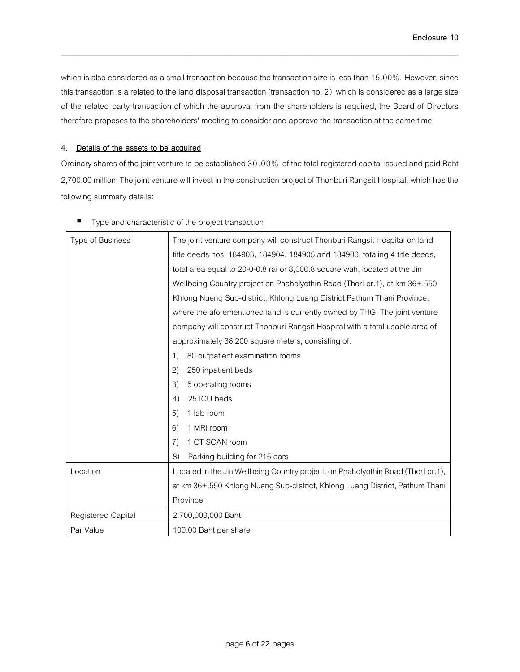which is also considered as a small transaction because the transaction size is less than 15.00%. However, since this transaction is a related to the land disposal transaction (transaction no. 2) which is considered as a large size of the related party transaction of which the approval from the shareholders is required, the Board of Directors therefore proposes to the shareholders' meeting to consider and approve the transaction at the same time.

\_\_\_\_\_\_\_\_\_\_\_\_\_\_\_\_\_\_\_\_\_\_\_\_\_\_\_\_\_\_\_\_\_\_\_\_\_\_\_\_\_\_\_\_\_\_\_\_\_\_\_\_\_\_\_\_\_\_\_\_\_\_\_\_\_\_\_\_\_\_\_\_\_\_\_\_\_\_

## **4. Details of the assets to be acquired**

Ordinary shares of the joint venture to be established 30.00% of the total registered capital issued and paid Baht 2,700.00 million. The joint venture will invest in the construction project of Thonburi Rangsit Hospital, which has the following summary details:

| Type of Business   | The joint venture company will construct Thonburi Rangsit Hospital on land      |
|--------------------|---------------------------------------------------------------------------------|
|                    | title deeds nos. 184903, 184904, 184905 and 184906, totaling 4 title deeds,     |
|                    | total area equal to 20-0-0.8 rai or 8,000.8 square wah, located at the Jin      |
|                    | Wellbeing Country project on Phaholyothin Road (ThorLor.1), at km 36+.550       |
|                    | Khlong Nueng Sub-district, Khlong Luang District Pathum Thani Province,         |
|                    | where the aforementioned land is currently owned by THG. The joint venture      |
|                    | company will construct Thonburi Rangsit Hospital with a total usable area of    |
|                    | approximately 38,200 square meters, consisting of:                              |
|                    | 80 outpatient examination rooms<br>1)                                           |
|                    | (2)<br>250 inpatient beds                                                       |
|                    | 5 operating rooms<br>3)                                                         |
|                    | 25 ICU beds<br>4)                                                               |
|                    | 5)<br>1 lab room                                                                |
|                    | 1 MRI room<br>6)                                                                |
|                    | 1 CT SCAN room<br>7)                                                            |
|                    | Parking building for 215 cars<br>8)                                             |
| Location           | Located in the Jin Wellbeing Country project, on Phaholyothin Road (ThorLor.1), |
|                    | at km 36+.550 Khlong Nueng Sub-district, Khlong Luang District, Pathum Thani    |
|                    | Province                                                                        |
| Registered Capital | 2,700,000,000 Baht                                                              |
| Par Value          | 100.00 Baht per share                                                           |

# Type and characteristic of the project transaction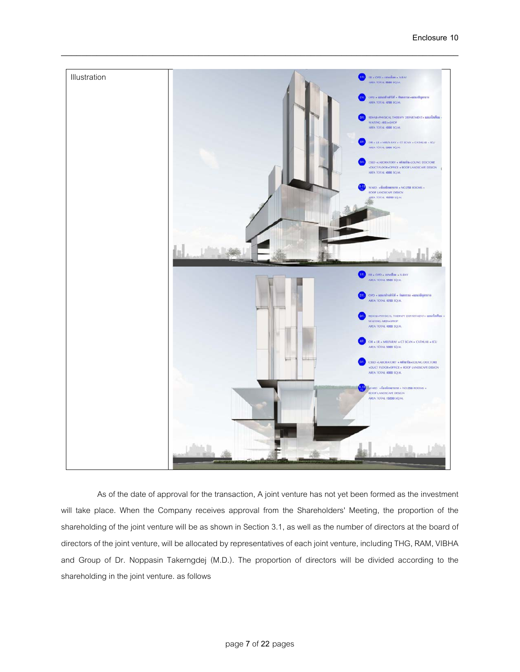

As of the date of approval for the transaction, A joint venture has not yet been formed as the investment will take place. When the Company receives approval from the Shareholders' Meeting, the proportion of the shareholding of the joint venture will be as shown in Section 3.1, as well as the number of directors at the board of directors of the joint venture, will be allocated by representatives of each joint venture, including THG, RAM, VIBHA and Group of Dr. Noppasin Takerngdej (M.D.). The proportion of directors will be divided according to the shareholding in the joint venture. as follows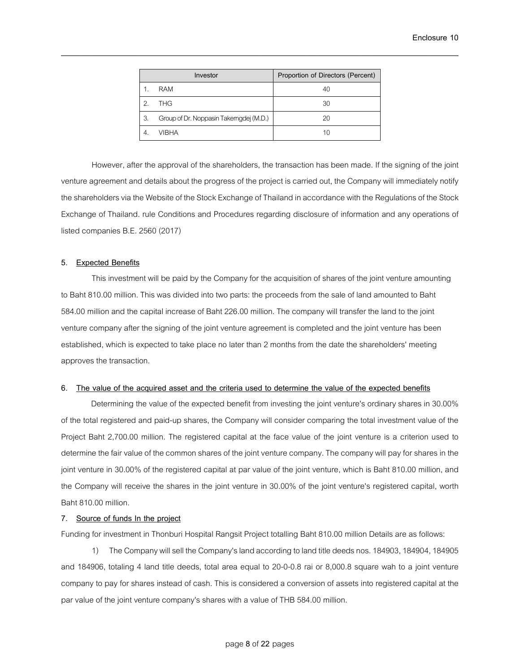|    | Investor                                | Proportion of Directors (Percent) |
|----|-----------------------------------------|-----------------------------------|
|    | <b>RAM</b>                              | 40                                |
| 2  | <b>THG</b>                              | 30                                |
| 3. | Group of Dr. Noppasin Takerngdej (M.D.) | 20                                |
|    | <b>VIBHA</b>                            | 10                                |

However, after the approval of the shareholders, the transaction has been made. If the signing of the joint venture agreement and details about the progress of the project is carried out, the Company will immediately notify the shareholders via the Website of the Stock Exchange of Thailand in accordance with the Regulations of the Stock Exchange of Thailand. rule Conditions and Procedures regarding disclosure of information and any operations of listed companies B.E. 2560 (2017)

#### **5. Expected Benefits**

This investment will be paid by the Company for the acquisition of shares of the joint venture amounting to Baht 810.00 million. This was divided into two parts: the proceeds from the sale of land amounted to Baht 584.00 million and the capital increase of Baht 226.00 million. The company will transfer the land to the joint venture company after the signing of the joint venture agreement is completed and the joint venture has been established, which is expected to take place no later than 2 months from the date the shareholders' meeting approves the transaction.

### **6. The value of the acquired asset and the criteria used to determine the value of the expected benefits**

Determining the value of the expected benefit from investing the joint venture's ordinary shares in 30.00% of the total registered and paid-up shares, the Company will consider comparing the total investment value of the Project Baht 2,700.00 million. The registered capital at the face value of the joint venture is a criterion used to determine the fair value of the common shares of the joint venture company. The company will pay for shares in the joint venture in 30.00% of the registered capital at par value of the joint venture, which is Baht 810.00 million, and the Company will receive the shares in the joint venture in 30.00% of the joint venture's registered capital, worth Baht 810.00 million.

### **7. Source of funds In the project**

Funding for investment in Thonburi Hospital Rangsit Project totalling Baht 810.00 million Details are as follows:

1) The Company will sell the Company's land according to land title deeds nos. 184903, 184904, 184905 and 184906, totaling 4 land title deeds, total area equal to 20-0-0.8 rai or 8,000.8 square wah to a joint venture company to pay for shares instead of cash.This is considered a conversion of assets into registered capital at the par value of the joint venture company's shares with a value of THB 584.00 million.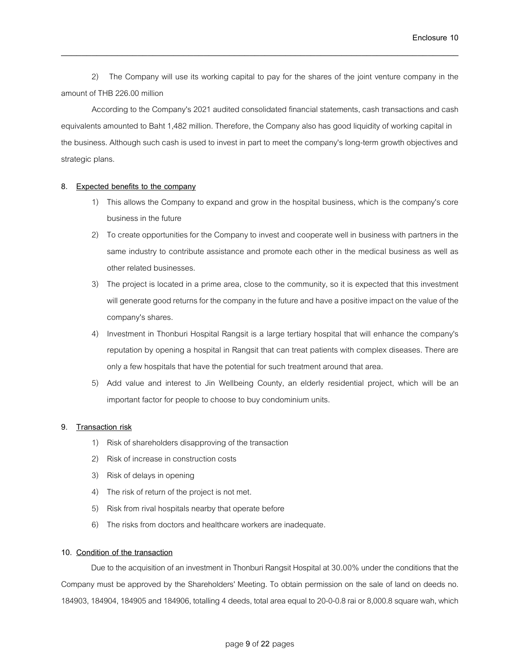**Enclosure 10**

2) The Company will use its working capital to pay for the shares of the joint venture company in the amount of THB 226.00 million

\_\_\_\_\_\_\_\_\_\_\_\_\_\_\_\_\_\_\_\_\_\_\_\_\_\_\_\_\_\_\_\_\_\_\_\_\_\_\_\_\_\_\_\_\_\_\_\_\_\_\_\_\_\_\_\_\_\_\_\_\_\_\_\_\_\_\_\_\_\_\_\_\_\_\_\_\_\_

According to the Company's 2021 audited consolidated financial statements, cash transactions and cash equivalents amounted to Baht 1,482 million. Therefore, the Company also has good liquidity of working capital in the business. Although such cash is used to invest in part to meet the company's long-term growth objectives and strategic plans.

## **8. Expected benefits to the company**

- 1) This allows the Company to expand and grow in the hospital business, which is the company's core business in the future
- 2) To create opportunities for the Company to invest and cooperate well in business with partners in the same industry to contribute assistance and promote each other in the medical business as well as other related businesses.
- 3) The project is located in a prime area, close to the community, so it is expected that this investment will generate good returns for the company in the future and have a positive impact on the value of the company's shares.
- 4) Investment in Thonburi Hospital Rangsit is a large tertiary hospital that will enhance the company's reputation by opening a hospital in Rangsit that can treat patients with complex diseases. There are only a few hospitals that have the potential for such treatment around that area.
- 5) Add value and interest to Jin Wellbeing County, an elderly residential project, which will be an important factor for people to choose to buy condominium units.

### **9. Transaction risk**

- 1) Risk of shareholders disapproving of the transaction
- 2) Risk of increase in construction costs
- 3) Risk of delays in opening
- 4) The risk of return of the project is not met.
- 5) Risk from rival hospitals nearby that operate before
- 6) The risks from doctors and healthcare workers are inadequate.

### **10. Condition of the transaction**

Due to the acquisition of an investment in Thonburi Rangsit Hospital at 30.00% under the conditions that the Company must be approved by the Shareholders' Meeting. To obtain permission on the sale of land on deeds no. 184903, 184904, 184905 and 184906, totalling 4 deeds, total area equal to 20-0-0.8 rai or 8,000.8 square wah, which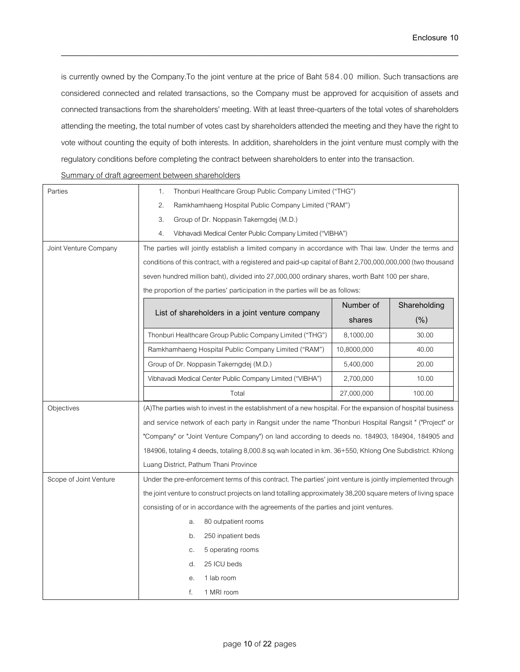is currently owned by the Company.To the joint venture at the price of Baht 584.00 million. Such transactions are considered connected and related transactions, so the Company must be approved for acquisition of assets and connected transactions from the shareholders' meeting. With at least three-quarters of the total votes of shareholders attending the meeting, the total number of votes cast by shareholders attended the meeting and they have the right to vote without counting the equity of both interests. In addition, shareholders in the joint venture must comply with the regulatory conditions before completing the contract between shareholders to enter into the transaction.

\_\_\_\_\_\_\_\_\_\_\_\_\_\_\_\_\_\_\_\_\_\_\_\_\_\_\_\_\_\_\_\_\_\_\_\_\_\_\_\_\_\_\_\_\_\_\_\_\_\_\_\_\_\_\_\_\_\_\_\_\_\_\_\_\_\_\_\_\_\_\_\_\_\_\_\_\_\_

| Summary of draft agreement between shareholders |  |
|-------------------------------------------------|--|
|                                                 |  |
|                                                 |  |

| Parties                | Thonburi Healthcare Group Public Company Limited ("THG")<br>1.                                                |             |              |
|------------------------|---------------------------------------------------------------------------------------------------------------|-------------|--------------|
|                        | 2.<br>Ramkhamhaeng Hospital Public Company Limited ("RAM")                                                    |             |              |
|                        | 3.<br>Group of Dr. Noppasin Takerngdej (M.D.)                                                                 |             |              |
|                        | 4.<br>Vibhavadi Medical Center Public Company Limited ("VIBHA")                                               |             |              |
| Joint Venture Company  | The parties will jointly establish a limited company in accordance with Thai law. Under the terms and         |             |              |
|                        | conditions of this contract, with a registered and paid-up capital of Baht 2,700,000,000,000 (two thousand    |             |              |
|                        | seven hundred million baht), divided into 27,000,000 ordinary shares, worth Baht 100 per share,               |             |              |
|                        | the proportion of the parties' participation in the parties will be as follows:                               |             |              |
|                        |                                                                                                               | Number of   | Shareholding |
|                        | List of shareholders in a joint venture company                                                               | shares      | (% )         |
|                        | Thonburi Healthcare Group Public Company Limited ("THG")                                                      | 8,1000,00   | 30.00        |
|                        | Ramkhamhaeng Hospital Public Company Limited ("RAM")                                                          | 10,8000,000 | 40.00        |
|                        | Group of Dr. Noppasin Takerngdej (M.D.)                                                                       | 5,400,000   | 20.00        |
|                        | Vibhavadi Medical Center Public Company Limited ("VIBHA")                                                     | 2,700,000   | 10.00        |
|                        | Total                                                                                                         | 27,000,000  | 100.00       |
| Objectives             | (A) The parties wish to invest in the establishment of a new hospital. For the expansion of hospital business |             |              |
|                        | and service network of each party in Rangsit under the name "Thonburi Hospital Rangsit" ("Project" or         |             |              |
|                        | "Company" or "Joint Venture Company") on land according to deeds no. 184903, 184904, 184905 and               |             |              |
|                        | 184906, totaling 4 deeds, totaling 8,000.8 sq.wah located in km. 36+550, Khlong One Subdistrict. Khlong       |             |              |
|                        | Luang District, Pathum Thani Province                                                                         |             |              |
| Scope of Joint Venture | Under the pre-enforcement terms of this contract. The parties' joint venture is jointly implemented through   |             |              |
|                        | the joint venture to construct projects on land totalling approximately 38,200 square meters of living space  |             |              |
|                        | consisting of or in accordance with the agreements of the parties and joint ventures.                         |             |              |
|                        | 80 outpatient rooms<br>a.                                                                                     |             |              |
|                        | 250 inpatient beds<br>b.                                                                                      |             |              |
|                        | 5 operating rooms<br>C.                                                                                       |             |              |
|                        | 25 ICU beds<br>d.                                                                                             |             |              |
|                        | 1 lab room<br>е.                                                                                              |             |              |
|                        | f.<br>1 MRI room                                                                                              |             |              |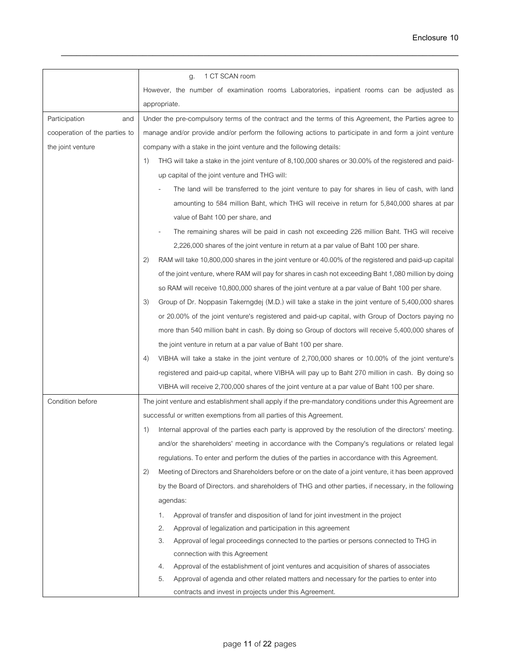|                               | 1 CT SCAN room<br>g.                                                                                        |
|-------------------------------|-------------------------------------------------------------------------------------------------------------|
|                               | However, the number of examination rooms Laboratories, inpatient rooms can be adjusted as                   |
|                               | appropriate.                                                                                                |
| Participation<br>and          | Under the pre-compulsory terms of the contract and the terms of this Agreement, the Parties agree to        |
| cooperation of the parties to | manage and/or provide and/or perform the following actions to participate in and form a joint venture       |
| the joint venture             | company with a stake in the joint venture and the following details:                                        |
|                               | THG will take a stake in the joint venture of 8,100,000 shares or 30.00% of the registered and paid-<br>1)  |
|                               | up capital of the joint venture and THG will:                                                               |
|                               | The land will be transferred to the joint venture to pay for shares in lieu of cash, with land              |
|                               | amounting to 584 million Baht, which THG will receive in return for 5,840,000 shares at par                 |
|                               | value of Baht 100 per share, and                                                                            |
|                               | The remaining shares will be paid in cash not exceeding 226 million Baht. THG will receive                  |
|                               | 2,226,000 shares of the joint venture in return at a par value of Baht 100 per share.                       |
|                               | 2)<br>RAM will take 10,800,000 shares in the joint venture or 40.00% of the registered and paid-up capital  |
|                               | of the joint venture, where RAM will pay for shares in cash not exceeding Baht 1,080 million by doing       |
|                               | so RAM will receive 10,800,000 shares of the joint venture at a par value of Baht 100 per share.            |
|                               | 3)<br>Group of Dr. Noppasin Takerngdej (M.D.) will take a stake in the joint venture of 5,400,000 shares    |
|                               | or 20.00% of the joint venture's registered and paid-up capital, with Group of Doctors paying no            |
|                               | more than 540 million baht in cash. By doing so Group of doctors will receive 5,400,000 shares of           |
|                               | the joint venture in return at a par value of Baht 100 per share.                                           |
|                               | VIBHA will take a stake in the joint venture of 2,700,000 shares or 10.00% of the joint venture's<br>4)     |
|                               | registered and paid-up capital, where VIBHA will pay up to Baht 270 million in cash. By doing so            |
|                               | VIBHA will receive 2,700,000 shares of the joint venture at a par value of Baht 100 per share.              |
| Condition before              | The joint venture and establishment shall apply if the pre-mandatory conditions under this Agreement are    |
|                               | successful or written exemptions from all parties of this Agreement.                                        |
|                               | Internal approval of the parties each party is approved by the resolution of the directors' meeting.<br>1)  |
|                               | and/or the shareholders' meeting in accordance with the Company's regulations or related legal              |
|                               | regulations. To enter and perform the duties of the parties in accordance with this Agreement.              |
|                               | (2)<br>Meeting of Directors and Shareholders before or on the date of a joint venture, it has been approved |
|                               | by the Board of Directors. and shareholders of THG and other parties, if necessary, in the following        |
|                               | agendas:                                                                                                    |
|                               | Approval of transfer and disposition of land for joint investment in the project<br>1.                      |
|                               | 2.<br>Approval of legalization and participation in this agreement                                          |
|                               | 3.<br>Approval of legal proceedings connected to the parties or persons connected to THG in                 |
|                               | connection with this Agreement                                                                              |
|                               | Approval of the establishment of joint ventures and acquisition of shares of associates<br>4.               |
|                               | 5.<br>Approval of agenda and other related matters and necessary for the parties to enter into              |
|                               | contracts and invest in projects under this Agreement.                                                      |